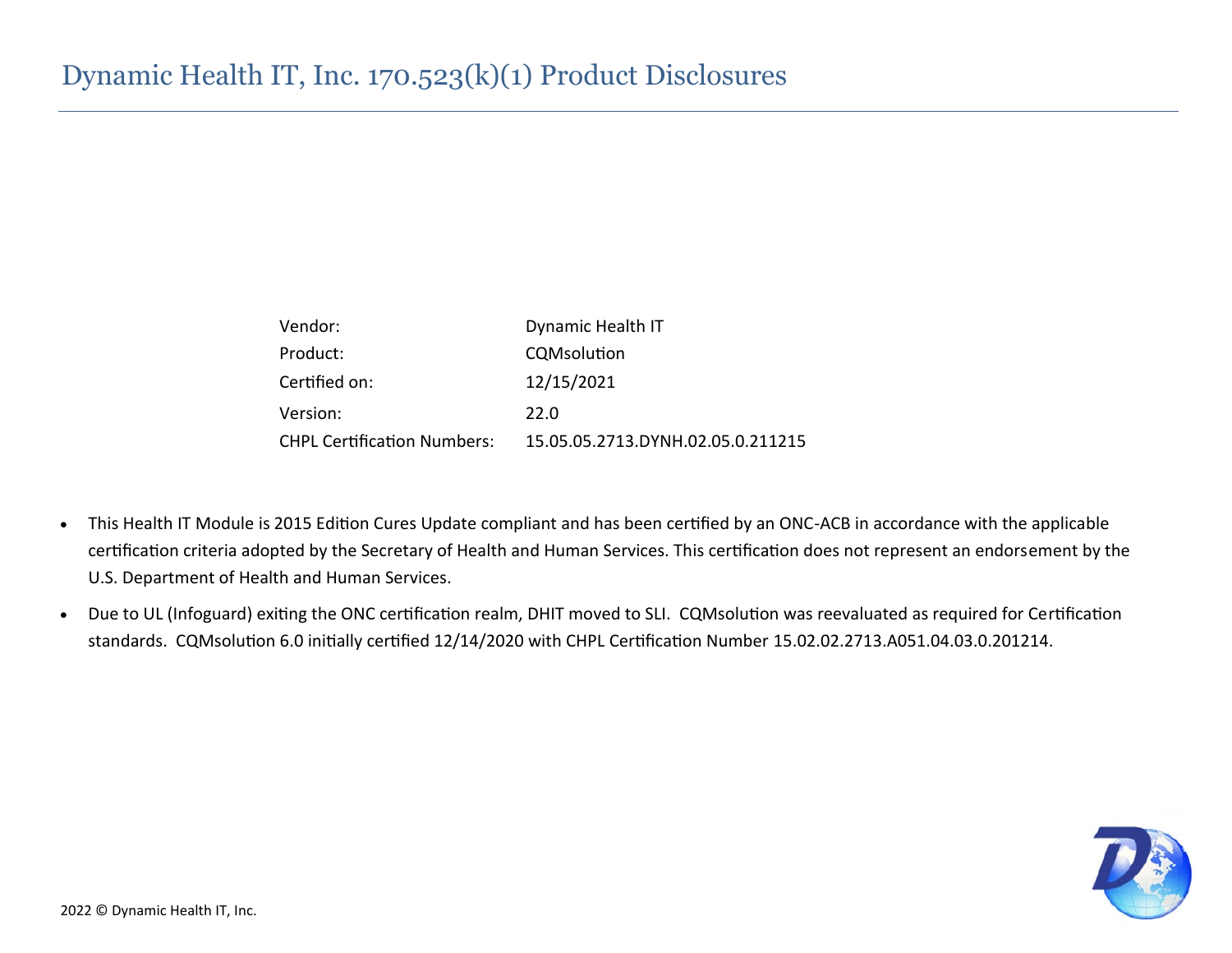| Vendor:                            | Dynamic Health IT                 |
|------------------------------------|-----------------------------------|
| Product:                           | CQMsolution                       |
| Certified on:                      | 12/15/2021                        |
| Version:                           | 22.O                              |
| <b>CHPL Certification Numbers:</b> | 15.05.05.2713.DYNH.02.05.0.211215 |

- This Health IT Module is 2015 Edition Cures Update compliant and has been certified by an ONC-ACB in accordance with the applicable certification criteria adopted by the Secretary of Health and Human Services. This certification does not represent an endorsement by the U.S. Department of Health and Human Services.
- Due to UL (Infoguard) exiting the ONC certification realm, DHIT moved to SLI. CQMsolution was reevaluated as required for Certification standards. CQMsolution 6.0 initially certified 12/14/2020 with CHPL Certification Number 15.02.02.2713.A051.04.03.0.201214.

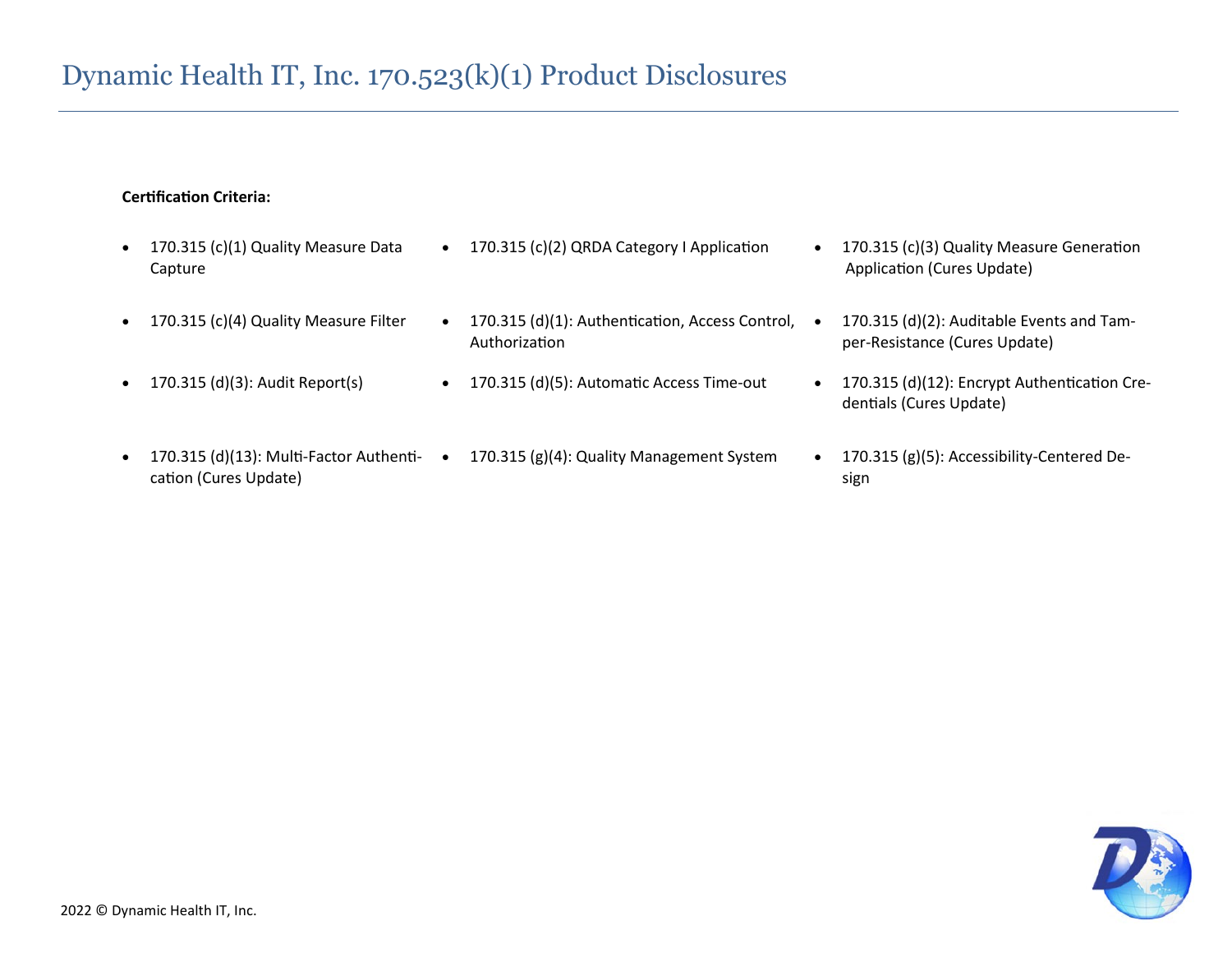#### **Certification Criteria:**

- 170.315 (c)(1) Quality Measure Data Capture
- 
- 
- cation (Cures Update)
- 170.315 (c)(2) QRDA Category I Application 170.315 (c)(3) Quality Measure Generation
- 170.315 (c)(4) Quality Measure Filter 170.315 (d)(1): Authentication, Access Control, Authorization
	-
- 170.315 (d)(13): Multi-Factor Authenti- 170.315 (g)(4): Quality Management System 170.315 (g)(5): Accessibility-Centered De-
- Application (Cures Update)
- 170.315 (d)(2): Auditable Events and Tamper-Resistance (Cures Update)
- 170.315 (d)(3): Audit Report(s) 170.315 (d)(5): Automatic Access Time-out 170.315 (d)(12): Encrypt Authentication Credentials (Cures Update)
	- sign

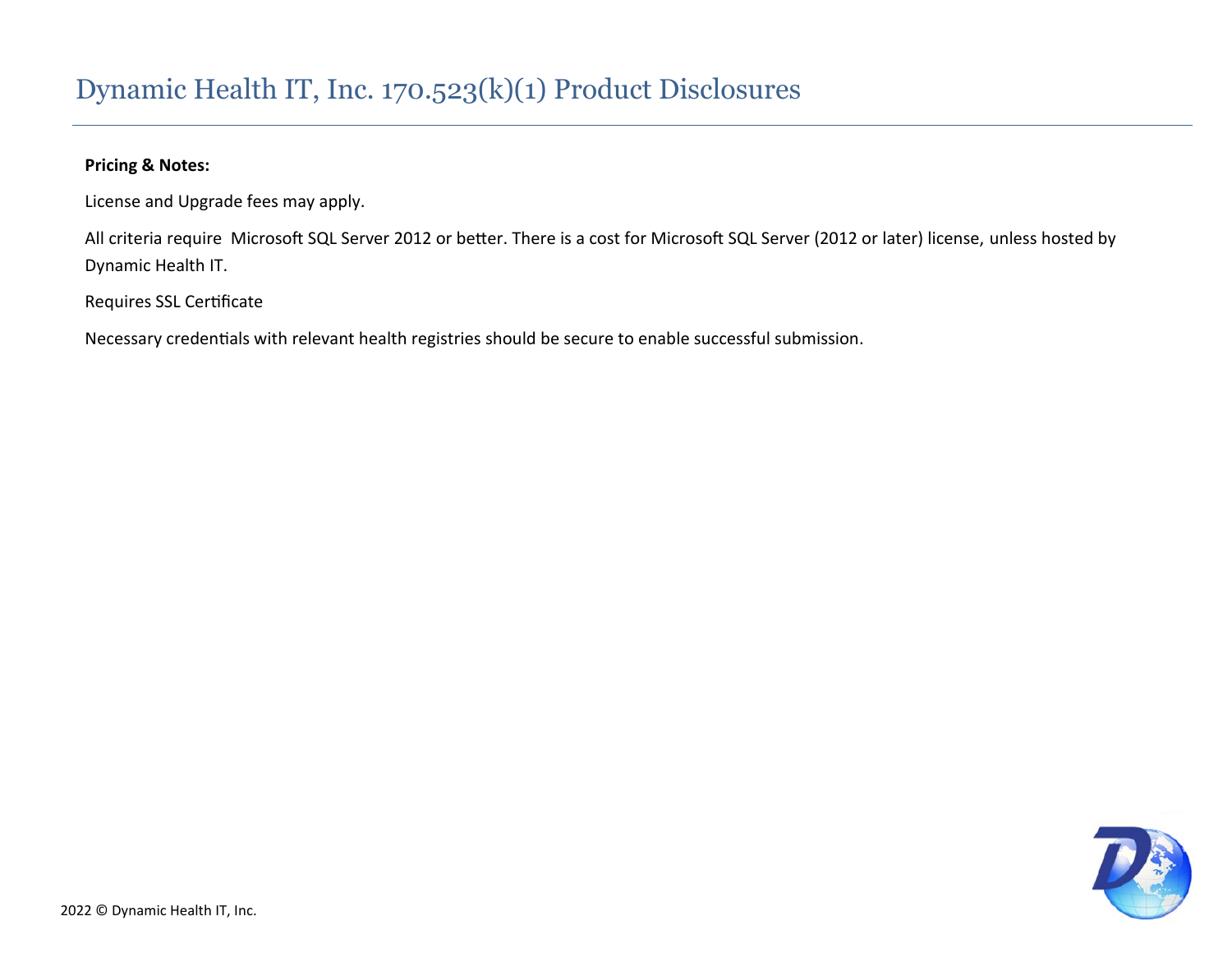#### **Pricing & Notes:**

License and Upgrade fees may apply.

All criteria require Microsoft SQL Server 2012 or better. There is a cost for Microsoft SQL Server (2012 or later) license, unless hosted by Dynamic Health IT.

Requires SSL Certificate

Necessary credentials with relevant health registries should be secure to enable successful submission.

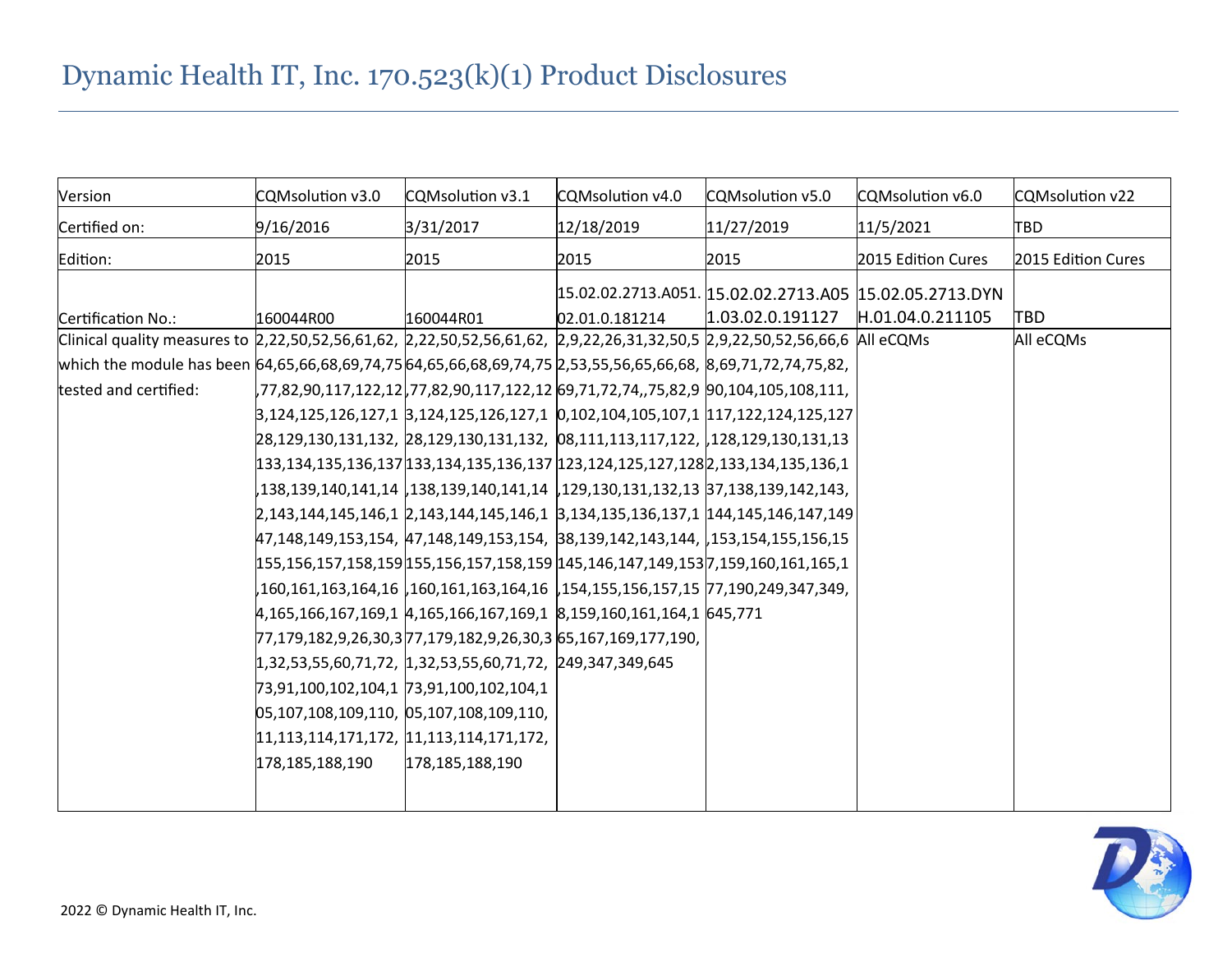| Version                                                                                                                    | CQMsolution v3.0                            | CQMsolution v3.1                                                                     | CQMsolution v4.0 | CQMsolution v5.0 | CQMsolution v6.0                                        | CQMsolution v22    |
|----------------------------------------------------------------------------------------------------------------------------|---------------------------------------------|--------------------------------------------------------------------------------------|------------------|------------------|---------------------------------------------------------|--------------------|
| Certified on:                                                                                                              | 9/16/2016                                   | 3/31/2017                                                                            | 12/18/2019       | 11/27/2019       | 11/5/2021                                               | <b>TBD</b>         |
| Edition:                                                                                                                   | 2015                                        | 2015                                                                                 | 2015             | 2015             | 2015 Edition Cures                                      | 2015 Edition Cures |
|                                                                                                                            |                                             |                                                                                      |                  |                  | 15.02.02.2713.A051. 15.02.02.2713.A05 15.02.05.2713.DYN |                    |
| Certification No.:                                                                                                         | 160044R00                                   | 160044R01                                                                            | 02.01.0.181214   | 1.03.02.0.191127 | H.01.04.0.211105                                        | <b>TBD</b>         |
| Clinical quality measures to 2,22,50,52,56,61,62, 2,22,50,52,56,61,62, 2,9,22,26,31,32,50,5 2,9,22,50,52,56,66,6 All eCQMs |                                             |                                                                                      |                  |                  |                                                         | All eCQMs          |
| which the module has been 64,65,66,68,69,74,75 64,65,66,68,69,74,75 2,53,55,56,65,66,68, 8,69,71,72,74,75,82,              |                                             |                                                                                      |                  |                  |                                                         |                    |
| tested and certified:                                                                                                      |                                             | ,77,82,90,117,122,12 ,77,82,90,117,122,12  69,71,72,74,,75,82,9  90,104,105,108,111, |                  |                  |                                                         |                    |
|                                                                                                                            |                                             | 3,124,125,126,127,1 3,124,125,126,127,1 0,102,104,105,107,1 117,122,124,125,127      |                  |                  |                                                         |                    |
|                                                                                                                            |                                             | 28,129,130,131,132, 28,129,130,131,132, 08,111,113,117,122, 128,129,130,131,13       |                  |                  |                                                         |                    |
|                                                                                                                            |                                             | 133,134,135,136,137 133,134,135,136,137 123,124,125,127,128 2,133,134,135,136,1      |                  |                  |                                                         |                    |
|                                                                                                                            |                                             | ,138,139,140,141,14  ,138,139,140,141,14  ,129,130,131,132,13  37,138,139,142,143,   |                  |                  |                                                         |                    |
|                                                                                                                            |                                             | 2,143,144,145,146,1 2,143,144,145,146,1 3,134,135,136,137,1 144,145,146,147,149      |                  |                  |                                                         |                    |
|                                                                                                                            |                                             | 47,148,149,153,154, 47,148,149,153,154, 38,139,142,143,144, 153,154,155,156,15       |                  |                  |                                                         |                    |
|                                                                                                                            |                                             | 155,156,157,158,159 155,156,157,158,159 145,146,147,149,153 7,159,160,161,165,1      |                  |                  |                                                         |                    |
|                                                                                                                            |                                             | ,160,161,163,164,16  ,160,161,163,164,16  ,154,155,156,157,15  77,190,249,347,349,   |                  |                  |                                                         |                    |
|                                                                                                                            |                                             | 4,165,166,167,169,1 4,165,166,167,169,1 8,159,160,161,164,1 645,771                  |                  |                  |                                                         |                    |
|                                                                                                                            |                                             | ,77,179,182,9,26,30,3 77,179,182,9,26,30,3 65,167,169,177,190                        |                  |                  |                                                         |                    |
|                                                                                                                            |                                             | $ 1,32,53,55,60,71,72,  1,32,53,55,60,71,72,  249,347,349,645$                       |                  |                  |                                                         |                    |
|                                                                                                                            | 73,91,100,102,104,1 73,91,100,102,104,1     |                                                                                      |                  |                  |                                                         |                    |
|                                                                                                                            | 05,107,108,109,110, 05,107,108,109,110,     |                                                                                      |                  |                  |                                                         |                    |
|                                                                                                                            | $ 11,113,114,171,172,  11,113,114,171,172,$ |                                                                                      |                  |                  |                                                         |                    |
|                                                                                                                            | 178,185,188,190                             | 178,185,188,190                                                                      |                  |                  |                                                         |                    |
|                                                                                                                            |                                             |                                                                                      |                  |                  |                                                         |                    |
|                                                                                                                            |                                             |                                                                                      |                  |                  |                                                         |                    |

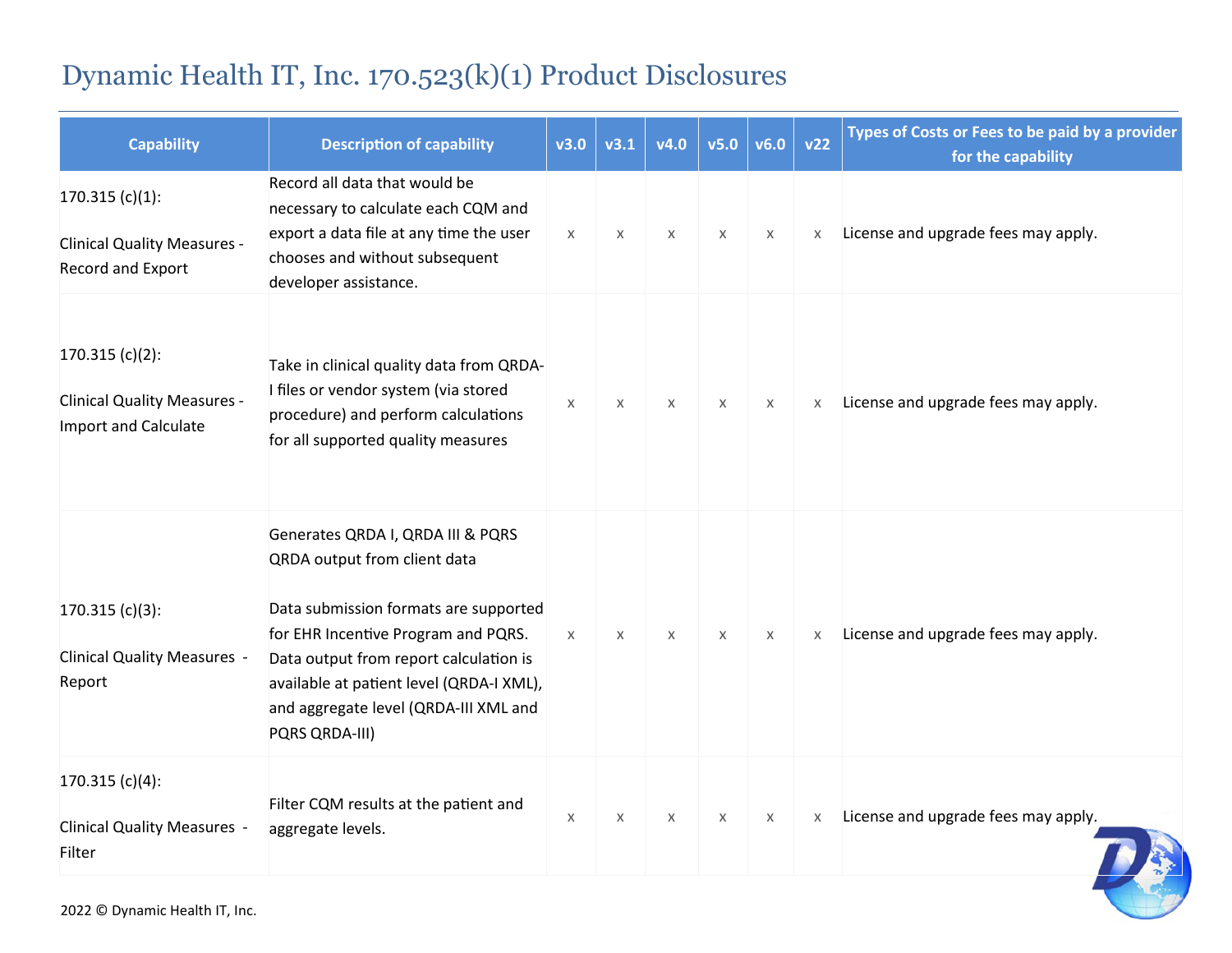| <b>Capability</b>                                                               | <b>Description of capability</b>                                                                                                                                                                                                                                                                   | v3.0     | v3.1 | V4.0     | v5.0     | v6.0     | v22 | Types of Costs or Fees to be paid by a provider<br>for the capability |
|---------------------------------------------------------------------------------|----------------------------------------------------------------------------------------------------------------------------------------------------------------------------------------------------------------------------------------------------------------------------------------------------|----------|------|----------|----------|----------|-----|-----------------------------------------------------------------------|
| $170.315(c)(1)$ :<br><b>Clinical Quality Measures -</b><br>Record and Export    | Record all data that would be<br>necessary to calculate each CQM and<br>export a data file at any time the user<br>chooses and without subsequent<br>developer assistance.                                                                                                                         | $\chi$   | X    | X        | $\times$ | X        | X   | License and upgrade fees may apply.                                   |
| $170.315(c)(2)$ :<br><b>Clinical Quality Measures -</b><br>Import and Calculate | Take in clinical quality data from QRDA-<br>I files or vendor system (via stored<br>procedure) and perform calculations<br>for all supported quality measures                                                                                                                                      | X        | X    | $\times$ | $\times$ | $\times$ | X   | License and upgrade fees may apply.                                   |
| $170.315(c)(3)$ :<br><b>Clinical Quality Measures -</b><br>Report               | Generates QRDA I, QRDA III & PQRS<br>QRDA output from client data<br>Data submission formats are supported<br>for EHR Incentive Program and PQRS.<br>Data output from report calculation is<br>available at patient level (QRDA-I XML),<br>and aggregate level (QRDA-III XML and<br>PQRS QRDA-III) | $\times$ | X    | $\times$ | $\times$ | X        | X   | License and upgrade fees may apply.                                   |
| $170.315(c)(4)$ :<br><b>Clinical Quality Measures -</b><br>Filter               | Filter CQM results at the patient and<br>aggregate levels.                                                                                                                                                                                                                                         | X        | X    | $\chi$   | $\times$ | X        | X   | License and upgrade fees may apply.                                   |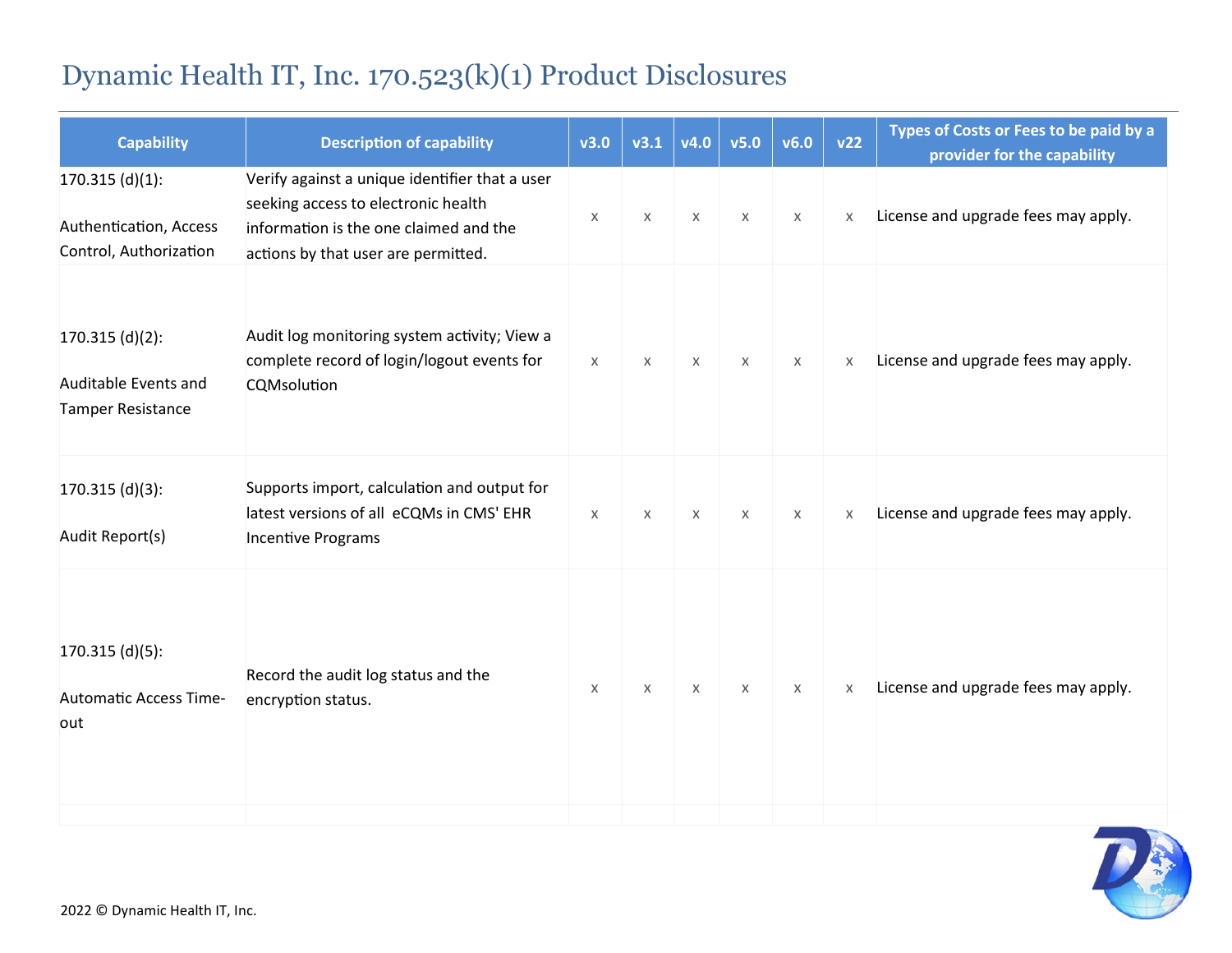| <b>Capability</b>                                                     | <b>Description of capability</b>                                                                                                                                       | v3.0     | v3.1     | v4.0     | v5.0     | v6.0     | v22      | Types of Costs or Fees to be paid by a<br>provider for the capability |
|-----------------------------------------------------------------------|------------------------------------------------------------------------------------------------------------------------------------------------------------------------|----------|----------|----------|----------|----------|----------|-----------------------------------------------------------------------|
| $170.315$ (d)(1):<br>Authentication, Access<br>Control, Authorization | Verify against a unique identifier that a user<br>seeking access to electronic health<br>information is the one claimed and the<br>actions by that user are permitted. | X        | X        | X        | $\times$ | $\times$ | $\times$ | License and upgrade fees may apply.                                   |
| $170.315$ (d)(2):<br>Auditable Events and<br><b>Tamper Resistance</b> | Audit log monitoring system activity; View a<br>complete record of login/logout events for<br>CQMsolution                                                              | $\times$ | $\times$ | $\chi$   | $\times$ | $\times$ | $\times$ | License and upgrade fees may apply.                                   |
| $170.315$ (d)(3):<br>Audit Report(s)                                  | Supports import, calculation and output for<br>latest versions of all eCQMs in CMS' EHR<br><b>Incentive Programs</b>                                                   | $\times$ | $\times$ | $\times$ | $\times$ | $\chi$   | X        | License and upgrade fees may apply.                                   |
| $170.315$ (d)(5):<br><b>Automatic Access Time-</b><br>out             | Record the audit log status and the<br>encryption status.                                                                                                              | X        | X        | X        | $\times$ | $\chi$   | X        | License and upgrade fees may apply.                                   |